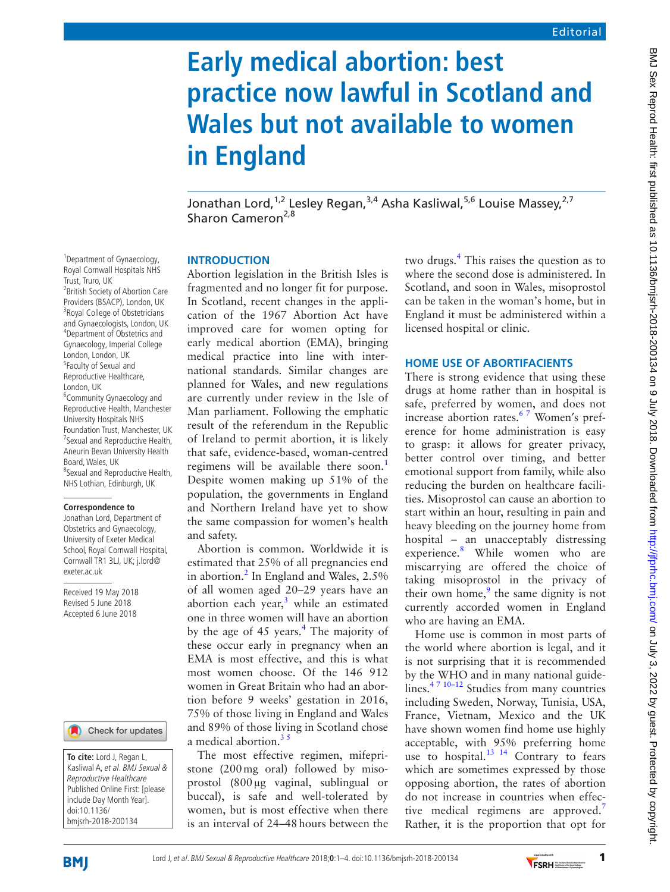# **Early medical abortion: best practice now lawful in Scotland and Wales but not available to women in England**

Jonathan Lord,<sup>1,2</sup> Lesley Regan,<sup>3,4</sup> Asha Kasliwal,<sup>5,6</sup> Louise Massey,<sup>2,7</sup> Sharon Cameron<sup>2,8</sup>

### **Introduction**

Abortion legislation in the British Isles is fragmented and no longer fit for purpose. In Scotland, recent changes in the application of the 1967 Abortion Act have improved care for women opting for early medical abortion (EMA), bringing medical practice into line with international standards. Similar changes are planned for Wales, and new regulations are currently under review in the Isle of Man parliament. Following the emphatic result of the referendum in the Republic of Ireland to permit abortion, it is likely that safe, evidence-based, woman-centred regimens will be available there soon.<sup>[1](#page-2-0)</sup> Despite women making up 51% of the population, the governments in England and Northern Ireland have yet to show the same compassion for women's health and safety.

Abortion is common. Worldwide it is estimated that 25% of all pregnancies end in abortion.<sup>2</sup> In England and Wales, 2.5% of all women aged 20–29 years have an abortion each year, $3$  while an estimated one in three women will have an abortion by the age of 45 years.<sup>4</sup> The majority of these occur early in pregnancy when an EMA is most effective, and this is what most women choose. Of the 146 912 women in Great Britain who had an abortion before 9 weeks' gestation in 2016, 75% of those living in England and Wales and 89% of those living in Scotland chose a medical abortion.<sup>35</sup>

The most effective regimen, mifepristone (200mg oral) followed by misoprostol (800µg vaginal, sublingual or buccal), is safe and well-tolerated by women, but is most effective when there is an interval of 24–48hours between the

two drugs.<sup>4</sup> This raises the question as to where the second dose is administered. In Scotland, and soon in Wales, misoprostol can be taken in the woman's home, but in England it must be administered within a licensed hospital or clinic.

### **Home use of abortifacients**

There is strong evidence that using these drugs at home rather than in hospital is safe, preferred by women, and does not increase abortion rates.<sup>67</sup> Women's preference for home administration is easy to grasp: it allows for greater privacy, better control over timing, and better emotional support from family, while also reducing the burden on healthcare facilities. Misoprostol can cause an abortion to start within an hour, resulting in pain and heavy bleeding on the journey home from hospital – an unacceptably distressing experience.<sup>8</sup> While women who are miscarrying are offered the choice of taking misoprostol in the privacy of their own home, $9$  the same dignity is not currently accorded women in England who are having an EMA.

Home use is common in most parts of the world where abortion is legal, and it is not surprising that it is recommended by the WHO and in many national guidelines.<sup>4 7 10–12</sup> Studies from many countries including Sweden, Norway, Tunisia, USA, France, Vietnam, Mexico and the UK have shown women find home use highly acceptable, with 95% preferring home use to hospital. $13 \frac{14}{14}$  Contrary to fears which are sometimes expressed by those opposing abortion, the rates of abortion do not increase in countries when effective medical regimens are approved. Rather, it is the proportion that opt for

Trust, Truro, UK <sup>2</sup> British Society of Abortion Care Providers (BSACP), London, UK <sup>3</sup> Royal College of Obstetricians and Gynaecologists, London, UK 4 Department of Obstetrics and Gynaecology, Imperial College London, London, UK 5 Faculty of Sexual and Reproductive Healthcare, London, UK 6 Community Gynaecology and Reproductive Health, Manchester University Hospitals NHS Foundation Trust, Manchester, UK <sup>7</sup> Sexual and Reproductive Health, Aneurin Bevan University Health Board, Wales, UK <sup>8</sup> Sexual and Reproductive Health, NHS Lothian, Edinburgh, UK

1 Department of Gynaecology, Royal Cornwall Hospitals NHS

# **Correspondence to**

Jonathan Lord, Department of Obstetrics and Gynaecology, University of Exeter Medical School, Royal Cornwall Hospital, Cornwall TR1 3LJ, UK; j.lord@ exeter.ac.uk

Received 19 May 2018 Revised 5 June 2018 Accepted 6 June 2018

Check for updates

**To cite:** Lord J, Regan L, Kasliwal A, et al. BMJ Sexual & Reproductive Healthcare Published Online First: [please include Day Month Year]. doi:10.1136/ bmjsrh-2018-200134

**BMI** 

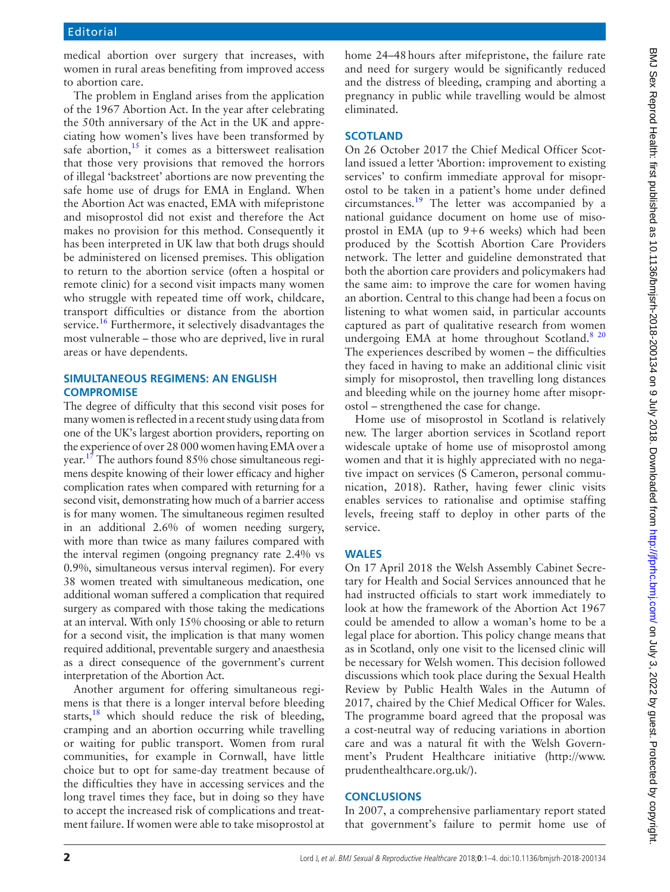medical abortion over surgery that increases, with women in rural areas benefiting from improved access to abortion care.

The problem in England arises from the application of the 1967 Abortion Act. In the year after celebrating the 50th anniversary of the Act in the UK and appreciating how women's lives have been transformed by safe abortion, $15$  it comes as a bittersweet realisation that those very provisions that removed the horrors of illegal 'backstreet' abortions are now preventing the safe home use of drugs for EMA in England. When the Abortion Act was enacted, EMA with mifepristone and misoprostol did not exist and therefore the Act makes no provision for this method. Consequently it has been interpreted in UK law that both drugs should be administered on licensed premises. This obligation to return to the abortion service (often a hospital or remote clinic) for a second visit impacts many women who struggle with repeated time off work, childcare, transport difficulties or distance from the abortion service.<sup>16</sup> Furthermore, it selectively disadvantages the most vulnerable – those who are deprived, live in rural areas or have dependents.

#### **Simultaneous regimens: an English compromise**

The degree of difficulty that this second visit poses for many women is reflected in a recent study using data from one of the UK's largest abortion providers, reporting on the experience of over 28 000 women having EMA over a year[.17](#page-3-2) The authors found 85% chose simultaneous regimens despite knowing of their lower efficacy and higher complication rates when compared with returning for a second visit, demonstrating how much of a barrier access is for many women. The simultaneous regimen resulted in an additional 2.6% of women needing surgery, with more than twice as many failures compared with the interval regimen (ongoing pregnancy rate 2.4% vs 0.9%, simultaneous versus interval regimen). For every 38 women treated with simultaneous medication, one additional woman suffered a complication that required surgery as compared with those taking the medications at an interval. With only 15% choosing or able to return for a second visit, the implication is that many women required additional, preventable surgery and anaesthesia as a direct consequence of the government's current interpretation of the Abortion Act.

Another argument for offering simultaneous regimens is that there is a longer interval before bleeding starts, $18$  which should reduce the risk of bleeding, cramping and an abortion occurring while travelling or waiting for public transport. Women from rural communities, for example in Cornwall, have little choice but to opt for same-day treatment because of the difficulties they have in accessing services and the long travel times they face, but in doing so they have to accept the increased risk of complications and treatment failure. If women were able to take misoprostol at

home 24–48 hours after mifepristone, the failure rate and need for surgery would be significantly reduced and the distress of bleeding, cramping and aborting a pregnancy in public while travelling would be almost eliminated.

### **Scotland**

On 26 October 2017 the Chief Medical Officer Scotland issued a letter 'Abortion: improvement to existing services' to confirm immediate approval for misoprostol to be taken in a patient's home under defined circumstances.[19](#page-3-4) The letter was accompanied by a national guidance document on home use of misoprostol in EMA (up to 9+6 weeks) which had been produced by the Scottish Abortion Care Providers network. The letter and guideline demonstrated that both the abortion care providers and policymakers had the same aim: to improve the care for women having an abortion. Central to this change had been a focus on listening to what women said, in particular accounts captured as part of qualitative research from women undergoing EMA at home throughout Scotland.<sup>[8 20](#page-2-5)</sup> The experiences described by women – the difficulties they faced in having to make an additional clinic visit simply for misoprostol, then travelling long distances and bleeding while on the journey home after misoprostol – strengthened the case for change.

Home use of misoprostol in Scotland is relatively new. The larger abortion services in Scotland report widescale uptake of home use of misoprostol among women and that it is highly appreciated with no negative impact on services (S Cameron, personal communication, 2018). Rather, having fewer clinic visits enables services to rationalise and optimise staffing levels, freeing staff to deploy in other parts of the service.

## **Wales**

On 17 April 2018 the Welsh Assembly Cabinet Secretary for Health and Social Services announced that he had instructed officials to start work immediately to look at how the framework of the Abortion Act 1967 could be amended to allow a woman's home to be a legal place for abortion. This policy change means that as in Scotland, only one visit to the licensed clinic will be necessary for Welsh women. This decision followed discussions which took place during the Sexual Health Review by Public Health Wales in the Autumn of 2017, chaired by the Chief Medical Officer for Wales. The programme board agreed that the proposal was a cost-neutral way of reducing variations in abortion care and was a natural fit with the Welsh Government's Prudent Healthcare initiative ([http://www.](http://www.prudenthealthcare.org.uk/) [prudenthealthcare.org.uk/](http://www.prudenthealthcare.org.uk/)).

#### **Conclusions**

In 2007, a comprehensive parliamentary report stated that government's failure to permit home use of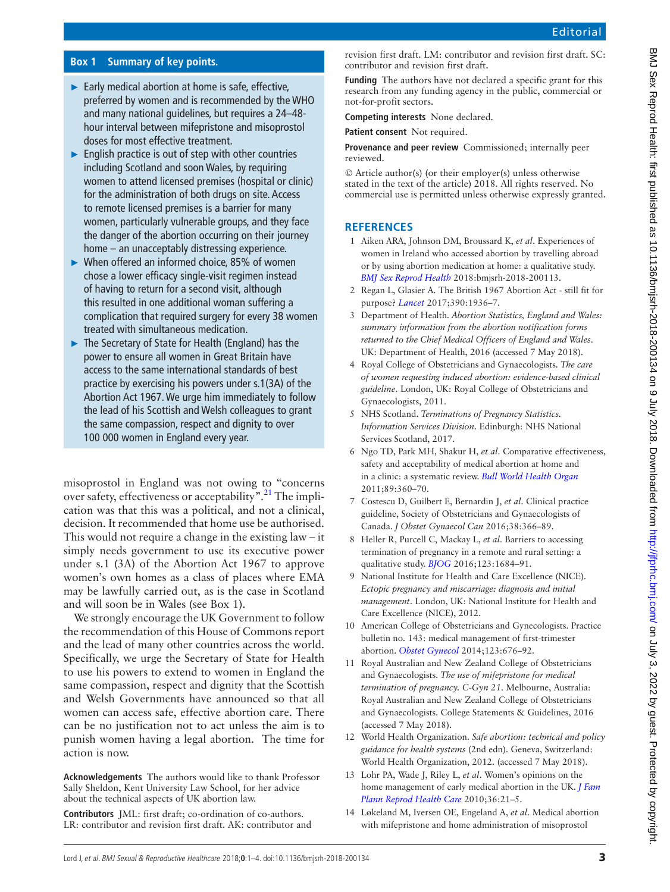# **Box 1 Summary of key points.**

- ► Early medical abortion at home is safe, effective, preferred by women and is recommended by the WHO and many national guidelines, but requires a 24–48 hour interval between mifepristone and misoprostol doses for most effective treatment.
- $\blacktriangleright$  English practice is out of step with other countries including Scotland and soon Wales, by requiring women to attend licensed premises (hospital or clinic) for the administration of both drugs on site. Access to remote licensed premises is a barrier for many women, particularly vulnerable groups, and they face the danger of the abortion occurring on their journey home – an unacceptably distressing experience.
- ► When offered an informed choice, 85% of women chose a lower efficacy single-visit regimen instead of having to return for a second visit, although this resulted in one additional woman suffering a complication that required surgery for every 38 women treated with simultaneous medication.
- ► The Secretary of State for Health (England) has the power to ensure all women in Great Britain have access to the same international standards of best practice by exercising his powers under s.1(3A) of the Abortion Act 1967. We urge him immediately to follow the lead of his Scottish and Welsh colleagues to grant the same compassion, respect and dignity to over 100 000 women in England every year.

misoprostol in England was not owing to "concerns over safety, effectiveness or acceptability".<sup>[21](#page-3-5)</sup> The implication was that this was a political, and not a clinical, decision. It recommended that home use be authorised. This would not require a change in the existing law – it simply needs government to use its executive power under s.1 (3A) of the Abortion Act 1967 to approve women's own homes as a class of places where EMA may be lawfully carried out, as is the case in Scotland and will soon be in Wales (see Box 1).

We strongly encourage the UK Government to follow the recommendation of this House of Commons report and the lead of many other countries across the world. Specifically, we urge the Secretary of State for Health to use his powers to extend to women in England the same compassion, respect and dignity that the Scottish and Welsh Governments have announced so that all women can access safe, effective abortion care. There can be no justification not to act unless the aim is to punish women having a legal abortion. The time for action is now.

**Acknowledgements** The authors would like to thank Professor Sally Sheldon, Kent University Law School, for her advice about the technical aspects of UK abortion law.

**Contributors** JML: first draft; co-ordination of co-authors. LR: contributor and revision first draft. AK: contributor and

revision first draft. LM: contributor and revision first draft. SC: contributor and revision first draft.

**Funding** The authors have not declared a specific grant for this research from any funding agency in the public, commercial or not-for-profit sectors.

**Competing interests** None declared.

**Patient consent** Not required.

**Provenance and peer review** Commissioned; internally peer reviewed.

© Article author(s) (or their employer(s) unless otherwise stated in the text of the article) 2018. All rights reserved. No commercial use is permitted unless otherwise expressly granted.

# **References**

- <span id="page-2-0"></span>1 Aiken ARA, Johnson DM, Broussard K, *et al*. Experiences of women in Ireland who accessed abortion by travelling abroad or by using abortion medication at home: a qualitative study. *[BMJ Sex Reprod Health](http://dx.doi.org/10.1136/bmjsrh-2018-200113)* 2018:bmjsrh-2018-200113.
- <span id="page-2-1"></span>2 Regan L, Glasier A. The British 1967 Abortion Act - still fit for purpose? *[Lancet](http://dx.doi.org/10.1016/S0140-6736(17)32753-8)* 2017;390:1936–7.
- <span id="page-2-2"></span>3 Department of Health. *Abortion Statistics, England and Wales: summary information from the abortion notification forms returned to the Chief Medical Officers of England and Wales*. UK: Department of Health, 2016 (accessed 7 May 2018).
- <span id="page-2-3"></span>4 Royal College of Obstetricians and Gynaecologists. *The care of women requesting induced abortion: evidence-based clinical guideline*. London, UK: Royal College of Obstetricians and Gynaecologists, 2011.
- 5 NHS Scotland. *Terminations of Pregnancy Statistics. Information Services Division*. Edinburgh: NHS National Services Scotland, 2017.
- <span id="page-2-4"></span>6 Ngo TD, Park MH, Shakur H, *et al*. Comparative effectiveness, safety and acceptability of medical abortion at home and in a clinic: a systematic review. *[Bull World Health Organ](http://dx.doi.org/10.2471/BLT.10.084046)* 2011;89:360–70.
- <span id="page-2-8"></span>7 Costescu D, Guilbert E, Bernardin J, *et al*. Clinical practice guideline, Society of Obstetricians and Gynaecologists of Canada. *J Obstet Gynaecol Can* 2016;38:366–89.
- <span id="page-2-5"></span>8 Heller R, Purcell C, Mackay L, *et al*. Barriers to accessing termination of pregnancy in a remote and rural setting: a qualitative study. *[BJOG](http://dx.doi.org/10.1111/1471-0528.14117)* 2016;123:1684–91.
- <span id="page-2-6"></span>9 National Institute for Health and Care Excellence (NICE). *Ectopic pregnancy and miscarriage: diagnosis and initial management*. London, UK: National Institute for Health and Care Excellence (NICE), 2012.
- 10 American College of Obstetricians and Gynecologists. Practice bulletin no. 143: medical management of first-trimester abortion. *[Obstet Gynecol](http://dx.doi.org/10.1097/01.AOG.0000444454.67279.7d)* 2014;123:676–92.
- 11 Royal Australian and New Zealand College of Obstetricians and Gynaecologists. *The use of mifepristone for medical termination of pregnancy. C-Gyn 21*. Melbourne, Australia: Royal Australian and New Zealand College of Obstetricians and Gynaecologists. College Statements & Guidelines, 2016 (accessed 7 May 2018).
- 12 World Health Organization. *Safe abortion: technical and policy guidance for health systems* (2nd edn). Geneva, Switzerland: World Health Organization, 2012. (accessed 7 May 2018).
- <span id="page-2-7"></span>13 Lohr PA, Wade J, Riley L, *et al*. Women's opinions on the home management of early medical abortion in the UK. *[J Fam](http://dx.doi.org/10.1783/147118910790290894)  [Plann Reprod Health Care](http://dx.doi.org/10.1783/147118910790290894)* 2010;36:21–5.
- 14 Løkeland M, Iversen OE, Engeland A, *et al*. Medical abortion with mifepristone and home administration of misoprostol